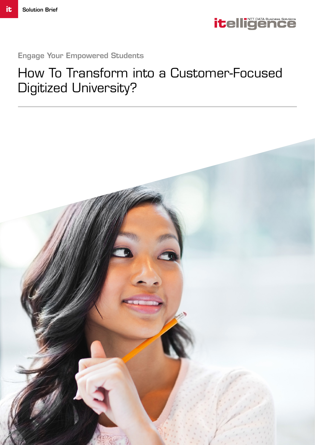

Engage Your Empowered Students

# How To Transform into a Customer-Focused Digitized University?

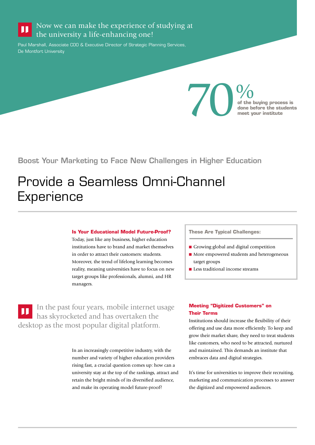#### Now we can make the experience of studying at П the university a life-enhancing one!

Paul Marshall, Associate COO & Executive Director of Strategic Planning Services, De Montfort University

> $70<sub>of the 1</sub> of the 1  
> done by  
> meet y$ **of the buying process is done before the students meet your institute**

Boost Your Marketing to Face New Challenges in Higher Education

# Provide a Seamless Omni-Channel **Experience**

### **Is Your Educational Model Future-Proof?**

Today, just like any business, higher education institutions have to brand and market themselves in order to attract their customers: students. Moreover, the trend of lifelong learning becomes reality, meaning universities have to focus on new target groups like professionals, alumni, and HR managers.

In the past four years, mobile internet usage П has skyrocketed and has overtaken the desktop as the most popular digital platform.

> In an increasingly competitive industry, with the number and variety of higher education providers rising fast, a crucial question comes up: how can a university stay at the top of the rankings, attract and retain the bright minds of its diversified audience, and make its operating model future-proof?

**These Are Typical Challenges:**

- Growing global and digital competition
- **n** More empowered students and heterogeneous target groups
- $\blacksquare$  Less traditional income streams

### **Meeting "Digitized Customers" on Their Terms**

Institutions should increase the flexibility of their offering and use data more efficiently. To keep and grow their market share, they need to treat students like customers, who need to be attracted, nurtured and maintained. This demands an institute that embraces data and digital strategies.

It's time for universities to improve their recruiting, marketing and communication processes to answer the digitized and empowered audiences.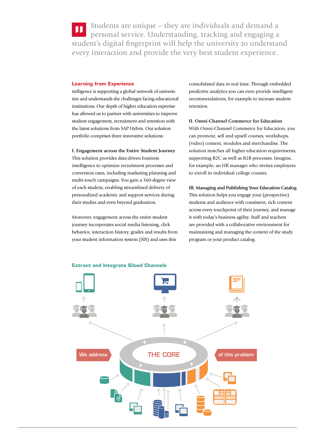Students are unique – they are individuals and demand a personal service. Understanding, tracking and engaging a student's digital fingerprint will help the university to understand every interaction and provide the very best student experience.

#### **Learning from Experience**

itelligence is supporting a global network of universities and understands the challenges facing educational institutions. Our depth of higher education expertise has allowed us to partner with universities to improve student engagement, recruitment and retention with the latest solutions from SAP Hybris. Our solution portfolio comprises three innovative solutions:

#### **I. Engagement across the Entire Student Journey**

This solution provides data-driven business intelligence to optimize recruitment processes and conversion rates, including marketing planning and multi-touch campaigns. You gain a 360-degree view of each student, enabling streamlined delivery of personalized academic and support services during their studies and even beyond graduation.

Moreover, engagement across the entire student journey incorporates social media listening, click behavior, interaction history, grades and results from your student information system (SIS) and uses this

consolidated data in real time. Through embedded predictive analytics you can even provide intelligent recommendations, for example to increase student retention.

#### **II. Omni-Channel Commerce for Education**

With Omni-Channel Commerce for Education, you can promote, sell and upsell courses, workshops, (video) content, modules and merchandise. The solution matches all higher education requirements, supporting B2C as well as B2B processes. Imagine, for example, an HR manager who invites employees to enroll in individual college courses.

## **III. Managing and Publishing Your Education Catalog**  This solution helps you engage your (prospective) students and audience with consistent, rich content across every touchpoint of their journey, and manage it with today's business agility. Staff and teachers are provided with a collaborative environment for maintaining and managing the content of the study program or your product catalog.